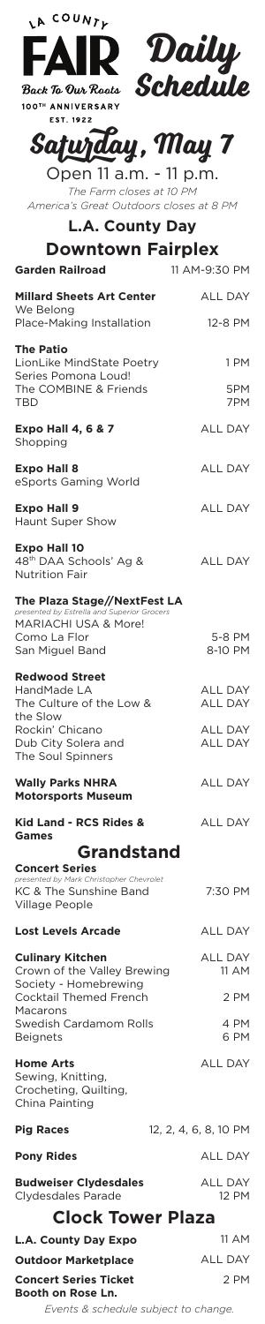

EST. 1922



## **Saturday, May 7**

Open 11 a.m. - 11 p.m. *The Farm closes at 10 PM America's Great Outdoors closes at 8 PM*

| Open II a.m. - II p.m.<br>The Farm closes at 10 PM<br>America's Great Outdoors closes at 8 PM<br><b>L.A. County Day</b>           |                                  |                          |
|-----------------------------------------------------------------------------------------------------------------------------------|----------------------------------|--------------------------|
|                                                                                                                                   |                                  | <b>Downtown Fairplex</b> |
| <b>Garden Railroad</b>                                                                                                            | 11 AM-9:30 PM                    |                          |
| <b>Millard Sheets Art Center</b><br>We Belong                                                                                     | <b>ALL DAY</b>                   |                          |
| Place-Making Installation<br><b>The Patio</b><br>LionLike MindState Poetry<br>Series Pomona Loud!<br>The COMBINE & Friends<br>TBD | 12-8 PM<br>1 PM<br>5PM<br>7PM    |                          |
| <b>Expo Hall 4, 6 &amp; 7</b><br>Shopping                                                                                         | <b>ALL DAY</b>                   |                          |
| <b>Expo Hall 8</b><br>eSports Gaming World                                                                                        | <b>ALL DAY</b>                   |                          |
| <b>Expo Hall 9</b><br>Haunt Super Show                                                                                            | <b>ALL DAY</b>                   |                          |
| <b>Expo Hall 10</b><br>48 <sup>th</sup> DAA Schools' Ag &<br><b>Nutrition Fair</b>                                                | <b>ALL DAY</b>                   |                          |
| The Plaza Stage//NextFest LA<br>presented by Estrella and Superior Grocers                                                        |                                  |                          |
| MARIACHI USA & More!<br>Como La Flor<br>San Miguel Band                                                                           | 5-8 PM<br>8-10 PM                |                          |
| <b>Redwood Street</b><br>HandMade LA<br>The Culture of the Low &<br>the Slow                                                      | <b>ALL DAY</b><br><b>ALL DAY</b> |                          |
| Rockin' Chicano<br>Dub City Solera and<br>The Soul Spinners                                                                       | <b>ALL DAY</b><br>ALL DAY        |                          |
| <b>Wally Parks NHRA</b><br><b>Motorsports Museum</b>                                                                              | ALL DAY                          |                          |
| <b>Kid Land - RCS Rides &amp;</b><br><b>Games</b>                                                                                 | <b>ALL DAY</b>                   |                          |
| <b>Grandstand</b>                                                                                                                 |                                  |                          |

**Concert Series** *presented by Mark Christopher Chevrolet* KC & The Sunshine Band Village People

7:30 PM

ALL DAY

ALL DAY 11 AM

2 PM

4 PM 6 PM

ALL DAY

**Lost Levels Arcade Culinary Kitchen**

Crown of the Valley Brewing Society - Homebrewing Cocktail Themed French Macarons Swedish Cardamom Rolls Beignets

**Home Arts** Sewing, Knitting, Crocheting, Quilting, China Painting

**Booth on Rose Ln.**

12, 2, 4, 6, 8, 10 PM ALL DAY ALL DAY 12 PM **Pig Races Pony Rides Budweiser Clydesdales** Clydesdales Parade **Clock Tower Plaza**

## 11 AM ALL DAY 2 PM **L.A. County Day Expo Outdoor Marketplace Concert Series Ticket**

*Events & schedule subject to change.*